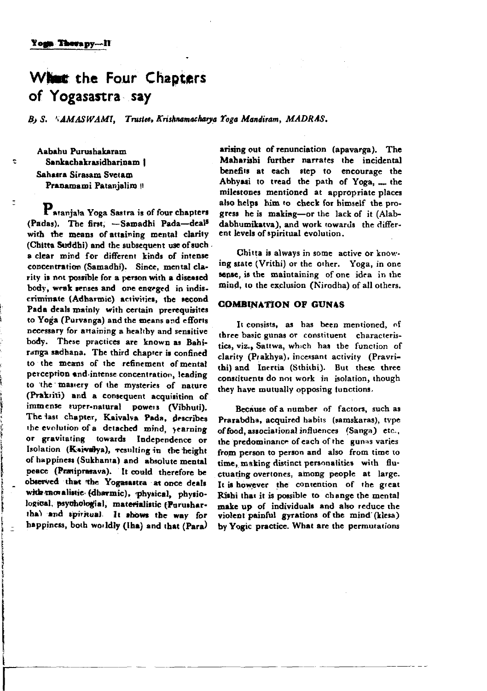# What the Four Chapters of Yogasastra say

B. S. SAMASWAMI. Trustee, Krishnamacharva Yoga Mandiram. MADRAS.

Aahahu Purushakaram Sankachakrasidharinam I Sahasra Sirasam Svetam Pranamami Patanjalim!!

÷

Pataniala Yoga Sastra is of four chapters (Padas). The first. - Samadhi Pada-deal<sup>8</sup> with the means of attaining mental clarity (Chitta Suddhi) and the subsequent use of such. a clear mind for different kinds of intense concentration (Samadhi). Since, mental clarity is not possible for a person with a diseased body, weak senses and one engeged in indiscriminate (Adharmic) activities, the second Pada deals mainly with certain prerequisites to Yoga (Purvanga) and the means and efforts necessary for attaining a healthy and sensitive body. These practices are known as Bahiratiga sadhana. The third chanter is confined to the means of the refinement of mental nerception and intense concentration, leading to the mastery of the mysteries of nature (Prakriti) and a consequent acquisition of immense super-natural powers (Vibhuti). The last chapter, Kaivalva Pada, describes the evolution of a detached mind, yearning or gravitating towards Independence or Isolation (Kaivalya), resulting in the height of happiness (Sukhanta) and absolute mental peace (Pratiprasava). It could therefore be observed that the Yogasastra at once deals with movalistic (dharmic), physical, physiological, psychologial, materialistic (Purushartha) and spiritual. It shows the way for happiness, both worldly (lha) and that (Para)

arising out of renunciation (apavarga). The Maharishi further narrates the incidental benefits at each step to encourage the Abhyasi to tread the path of Yoga, .... the milestones mentioned at appropriate places also helps him to check for himself the progress he is making-or the lack of it (Alabdabhumikatva), and work towards the different levels of spiritual evolution.

Chitta is always in some active or knowing state (Vrithi) or the other. Yoga, in one sense, is the maintaining of one idea in the mind, to the exclusion (Nirodha) of all others.

## **COMBINATION OF GUNAS**

It consists, as has been mentioned, of three basic gunas or constituent characteristics, viz., Sattwa, which has the function of clarity (Prakhya), incessant activity (Pravrithi) and Inertia (Sthithi). But these three constituents do not work in isolation, though they have mutually opposing functions.

Because of a number of factors, such as Prarabdha, acquired habits (samskaras), type of food, associational influences (Sanga) etc., the predominance of each of the gunas varies from person to person and also from time to time, making distinct personalities with fluctuating overtones, among people at large. It is however the contention of the great Rishi that it is possible to change the mental make up of individuals and also reduce the violent painful gyrations of the mind (klesa) by Yogic practice. What are the permutations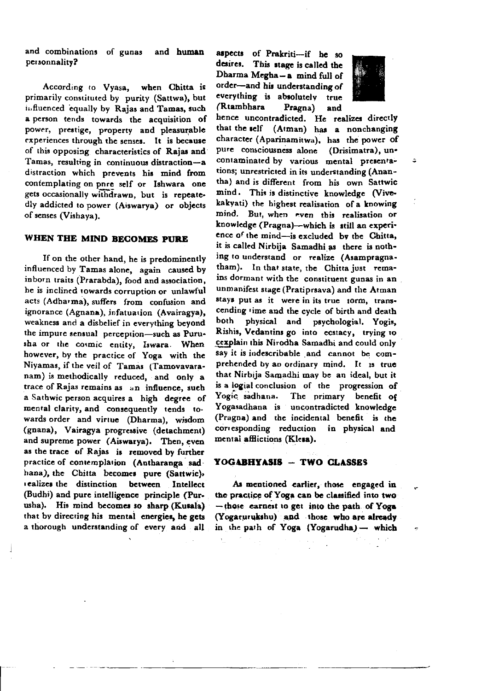and combinations of gunas and human personnality?

According to Vyasa. when Chitta is primarily constituted by purity (Sattwa), but influenced equally by Rajas and Tamas, such a person tends towards the acquisition of power, prestige, property and pleasurable experiences through the senses. It is because of this opposing characteristics of Raias and Tamas, resulting in continuous distraction-a distraction which prevents his mind from contemplating on pnre self or Ishwara one gets occasionally withdrawn, but is repeatedly addicted to power (Aiswarya) or objects of senses (Vishaya).

## WHEN THE MIND BECOMES PURE

If on the other hand, he is predominently influenced by Tamas alone. again caused by inborn traits (Prarabda), food and association, he is inclined towards corruption or unlawful acts (Adharma), suffers from confusion and ignorance (Agnana), infatuation (Avairagya), weakness and a disbelief in everything beyond the impure sensual perception-such as Purusha or the cosmic entity, Iswara. When however, by the practice of Yoga with the Niyamas, if the veil of Tamas (Tamovavaranam) is methodically reduced, and only a trace of Rajas remains as an influence, such a Sathwic person acquires a high degree of mental clarity, and consequently tends to. wards order and virtue (Dharma), wisdom (gnana), Vairagya progressive (detachment) and supreme power (Aiswarva). Then, even as the trace of Rajas is removed by further practice of contemplation (Autharanga sadhana), the Chitta becomes pure (Sattwic), realizes the distinction between Intellect (Budhi) and pure intelligence principle (Purusha). His mind becomes so sharp (Kusala) that by directing his mental energies, he gets a thorough understanding of every and all

aspects of Prakriti-if he so desires. This stage is called the Dharma Megha-a mind full of order-and his understanding of everything is absolutely true (Rtambhara) Pragna) and



hence uncontradicted. He realizes directly that the self (Atman) has a nonchanging character (Aparinamitwa), has the power of pure consciousness alone (Drisimatra), uncontaminated by various mental presentations; unrestricted in its understanding (Anantha) and is different from his own Sattwic mind. This is distinctive knowledge (Vivekakyati) the highest realisation of a knowing mind. But when even this realisation or knowledge (Pragna)—which is still an experience of the mind-is excluded by the Chitta. it is called Nirbija Samadhi as there is nothing to understand or realize (Asampragnatham). In that state, the Chitta just remains dormant with the constituent gunas in an unmanifest stage (Pratiprsava) and the Atman stavs put as it were in its true 10rm, transcending time and the cycle of birth and death both physical and psychologial. Yogis, Rishis, Vedantins go into ecstacy, trying to cexplain this Nirodha Samadhi and could only say it is indescribable and cannot be comprehended by an ordinary mind. It is true that Nirbija Samadhi may be an ideal, but it is a logial conclusion of the progression of Yogic sadhana. The primary benefit of Yogasadhana is uncontradicted knowledge (Pragna) and the incidental benefit is the corresponding reduction in physical and mental afflictions (Klesa).

#### YOGABHYASIS - TWO CLASSES

As mentioned earlier, those engaged in the practice of Yoga can be classified into two -those carnest to get into the path of Yoga (Yogarurukshu) and those who are already in the path of Yoga (Yogarudha) - which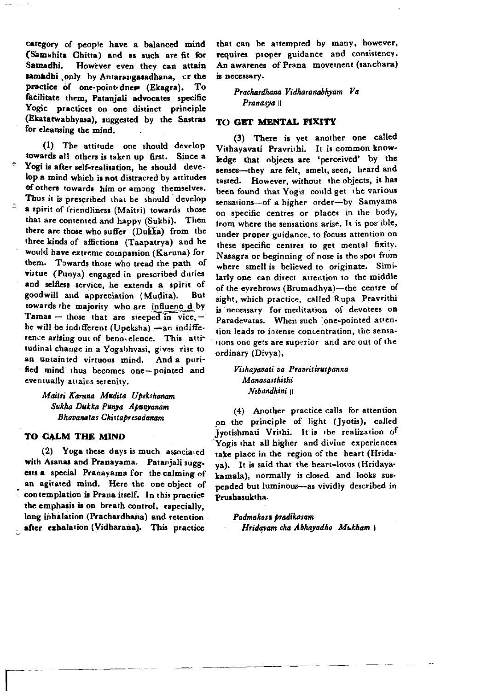category of people have a balanced mind (Samahita Chitta) and as such are fit for Samadhi. However even they can attain samadhi only by Antarangasadhana, or the practice of one-point-dness (Ekagra). To facilitate them, Patanjali advocates specific Yogic practices on one distinct principle (Ekatatwabhyasa), suggested by the Sastras for eleansing the mind.

(1) The attitude one should develop towards all others is taken up first. Since a Yogi is after self-realisation, he should develop a mind which is not distracted by attitudes of others towards him or among themselves. Thus it is prescribed that he should develop a spirit of friendliness (Maitri) towards those that are contented and happy (Sukhi). Then there are those who suffer (Dukka) from the three kinds of affictions (Taapatrya) and he would have extreme compassion (Karuna) for them. Towards those who tread the path of **virtue** (Punya) engaged in prescribed duties and selfless service, he extends a spirit of goodwill and appreciation (Mudita). But towards the majority who are influenced by Tamas - those that are steeped in vice,  $$ he will be indifferent (Upeksha) -an indifference arising out of benovelence. This attitudinal change in a Yogabhyasi, gives rise to an untainted virtuous mind. And a purified mind thus becomes one-pointed and eventually attains serenity.

> Maitri Karuna Mudita Upekshanam Sukha Dukka Punya Apunyanam Bhavanatas Chittapresadanam

## TO CALM THE MIND

(2) Yoga these days is much associated with Asanas and Pranayama. Patanjali suggests a special Pranayama for the calming of an agitated mind. Here the one object of contemplation is Prana itself. In this practice the emphasis is on breath control, especially, long inhalation (Prachardhana) and retention after exhalation (Vidharana). This practice that can be attempted by many, however, requires proper guidance and consistency. An awarenes of Prana movement (sanchara) is necessary.

Prachardhana Vidharanabhyam Va Pranasya ||

### TO GET MENTAL FIXITY

(3) There is vet another one called Vishayavati Pravrithi. It is common knowledge that objects are 'perceived' by the senses-they are felt, smelt, seen, heard and tasted. However, without the objects, it has been found that Yogis could get the various sensations-of a higher order-by Samyama on specific centres or places in the body, from where the sensations arise. It is postible, under proper guidance, to focuss attention on these specific centres to get mental fixity. Nasagra or beginning of nose is the spot from where smell is believed to originate. Similarly one can direct attention to the middle of the eyrebrows (Brumadhya)-the centre of sight, which practice, called Rupa Pravrithi is necessary for meditation of devotees on Paradevatas. When such "one-pointed attention leads to intense concentration, the sensations one gets are superior and are out of the ordinary (Divya),

Vishayavati va Pravritirutpanna Manasasthithi Nıbandhini ||

(4) Another practice calls for attention on the principle of light (Jyotis), called Ivotishmati Vrithi. It is the realization of Yogis that all higher and divine experiences take place in the region of the heart (Hridava). It is said that the heart-lotus (Hridayakamala), normally is closed and looks suspended but luminous-as vividly described in Prushasuktha.

Padmakosa pradikasam Hridayam cha Abhayadho Mukham \